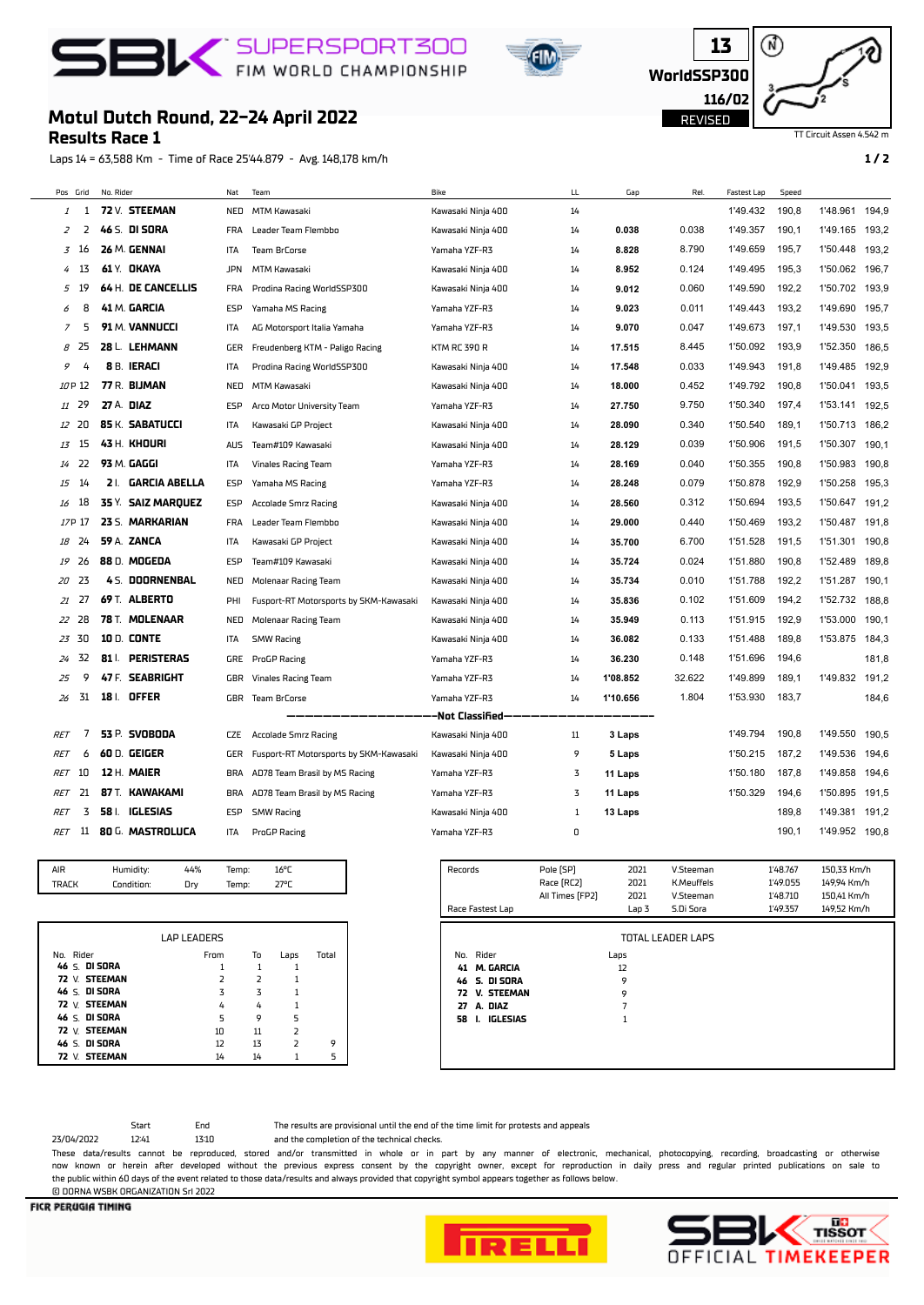## **BIC** SUPERSPORT300





## **Motul Dutch Round, 22-24 April 2022**

**Results Race 1**

Laps 14 = 63,588 Km - Time of Race 25'44.879 - Avg. 148,178 km/h **1 / 2**

TT Circuit Assen 4.542 m

| Pos Grid   |     | No. Rider         |                      | Nat        | Team                                   | Bike                | LL | Gap      | Rel    | Fastest Lap | Speed |          |       |
|------------|-----|-------------------|----------------------|------------|----------------------------------------|---------------------|----|----------|--------|-------------|-------|----------|-------|
| 1          | 1   |                   | 72 V. STEEMAN        | NED        | MTM Kawasaki                           | Kawasaki Ninja 400  | 14 |          |        | 1'49.432    | 190,8 | 1'48.961 | 194.9 |
| 2          | 2   |                   | 46 S. DI SORA        | <b>FRA</b> | Leader Team Flembbo                    | Kawasaki Ninja 400  | 14 | 0.038    | 0.038  | 1'49.357    | 190,1 | 1'49.165 | 193,2 |
| 3          | 16  |                   | 26 M. GENNAI         | ITA        | Team BrCorse                           | Yamaha YZF-R3       | 14 | 8.828    | 8.790  | 1'49.659    | 195,7 | 1'50.448 | 193,2 |
| 4          | -13 |                   | 61 Y. OKAYA          | <b>JPN</b> | MTM Kawasaki                           | Kawasaki Ninja 400  | 14 | 8.952    | 0.124  | 1'49.495    | 195,3 | 1'50.062 | 196.7 |
| 5          | 19  |                   | 64 H. DE CANCELLIS   | <b>FRA</b> | Prodina Racing WorldSSP300             | Kawasaki Ninja 400  | 14 | 9.012    | 0.060  | 1'49.590    | 192,2 | 1'50.702 | 193,9 |
| 6          | 8   |                   | <b>41 M. GARCIA</b>  | ESP        | Yamaha MS Racing                       | Yamaha YZF-R3       | 14 | 9.023    | 0.011  | 1'49.443    | 193,2 | 1'49.690 | 195,7 |
| 7          | 5   |                   | 91 M. VANNUCCI       | ITA        | AG Motorsport Italia Yamaha            | Yamaha YZF-R3       | 14 | 9.070    | 0.047  | 1'49.673    | 197,1 | 1'49.530 | 193,5 |
| 8          | 25  |                   | 28 L. LEHMANN        | GER        | Freudenberg KTM - Paligo Racing        | <b>KTM RC 390 R</b> | 14 | 17.515   | 8.445  | 1'50.092    | 193,9 | 1'52.350 | 186,5 |
| 9          | 4   |                   | 8 B. IERACI          | ITA        | Prodina Racing WorldSSP300             | Kawasaki Ninja 400  | 14 | 17.548   | 0.033  | 1'49.943    | 191,8 | 1'49.485 | 192,9 |
| 10 P 12    |     |                   | 77 R. BIJMAN         | NED        | MTM Kawasaki                           | Kawasaki Ninja 400  | 14 | 18.000   | 0.452  | 1'49.792    | 190,8 | 1'50.041 | 193,5 |
| 11 29      |     | <b>27 A. DIAZ</b> |                      | ESP        | Arco Motor University Team             | Yamaha YZF-R3       | 14 | 27.750   | 9.750  | 1'50.340    | 197,4 | 1'53.141 | 192,5 |
| 12         | 20  |                   | 85 K. SABATUCCI      | ITA        | Kawasaki GP Project                    | Kawasaki Ninja 400  | 14 | 28.090   | 0.340  | 1'50.540    | 189,1 | 1'50.713 | 186,2 |
| 13         | 15  |                   | 43 H. KHOURI         | <b>AUS</b> | Team#109 Kawasaki                      | Kawasaki Ninja 400  | 14 | 28.129   | 0.039  | 1'50.906    | 191,5 | 1'50.307 | 190,1 |
| 14         | -22 |                   | 93 M. GAGGI          | ITA        | <b>Vinales Racing Team</b>             | Yamaha YZF-R3       | 14 | 28.169   | 0.040  | 1'50.355    | 190,8 | 1'50.983 | 190,8 |
| 15         | -14 |                   | 2   GARCIA ABELLA    | ESP        | Yamaha MS Racing                       | Yamaha YZF-R3       | 14 | 28.248   | 0.079  | 1'50.878    | 192,9 | 1'50.258 | 195,3 |
| 16         | 18  |                   | 35 Y. SAIZ MARQUEZ   | <b>ESP</b> | Accolade Smrz Racing                   | Kawasaki Ninja 400  | 14 | 28.560   | 0.312  | 1'50.694    | 193,5 | 1'50.647 | 191,2 |
| 17P 17     |     |                   | 23 S. MARKARIAN      | <b>FRA</b> | Leader Team Flembbo                    | Kawasaki Ninja 400  | 14 | 29.000   | 0.440  | 1'50.469    | 193,2 | 1'50.487 | 191,8 |
| 18         | 24  |                   | 59 A. ZANCA          | ITA        | Kawasaki GP Project                    | Kawasaki Ninja 400  | 14 | 35.700   | 6.700  | 1'51.528    | 191,5 | 1'51.301 | 190,8 |
| 19         | -26 |                   | 88 D. MOGEDA         | ESP        | Team#109 Kawasaki                      | Kawasaki Ninja 400  | 14 | 35.724   | 0.024  | 1'51.880    | 190,8 | 1'52.489 | 189,8 |
| 20         | 23  |                   | 4 S. DOORNENBAL      | NED        | Molenaar Racing Team                   | Kawasaki Ninja 400  | 14 | 35.734   | 0.010  | 1'51.788    | 192,2 | 1'51.287 | 190,1 |
| 21         | 27  |                   | 69 T. ALBERTO        | PHI        | Fusport-RT Motorsports by SKM-Kawasaki | Kawasaki Ninja 400  | 14 | 35.836   | 0.102  | 1'51.609    | 194,2 | 1'52.732 | 188,8 |
| 22         | 28  |                   | 78 T. MOLENAAR       | NED        | Molenaar Racing Team                   | Kawasaki Ninja 400  | 14 | 35.949   | 0.113  | 1'51.915    | 192,9 | 1'53.000 | 190.1 |
| 23         | 30  |                   | <b>10 D. CONTE</b>   | ITA        | <b>SMW Racing</b>                      | Kawasaki Ninja 400  | 14 | 36.082   | 0.133  | 1'51.488    | 189,8 | 1'53.875 | 184,3 |
| 24         | 32  |                   | 81   PERISTERAS      | GRE        | ProGP Racing                           | Yamaha YZF-R3       | 14 | 36.230   | 0.148  | 1'51.696    | 194,6 |          | 181,8 |
| 25         | 9   |                   | 47 F. SEABRIGHT      | GBR        | <b>Vinales Racing Team</b>             | Yamaha YZF-R3       | 14 | 1'08.852 | 32.622 | 1'49.899    | 189.1 | 1'49.832 | 191,2 |
| 26         | 31  |                   | 18 I. OFFER          | GBR        | Team BrCorse                           | Yamaha YZF-R3       | 14 | 1'10.656 | 1.804  | 1'53.930    | 183,7 |          | 184,6 |
|            |     |                   |                      |            |                                        | Not Classified      |    |          |        |             |       |          |       |
| RET        | 7   |                   | <b>53 P. SVOBODA</b> | <b>CZE</b> | Accolade Smrz Racing                   | Kawasaki Ninja 400  | 11 | 3 Laps   |        | 1'49.794    | 190,8 | 1'49.550 | 190,5 |
| RE1        | 6   |                   | 60 D. GEIGER         | GER        | Fusport-RT Motorsports by SKM-Kawasaki | Kawasaki Ninja 400  | 9  | 5 Laps   |        | 1'50.215    | 187,2 | 1'49.536 | 194,6 |
| RET        | 10  |                   | 12 H. MAIER          | BRA        | AD78 Team Brasil by MS Racing          | Yamaha YZF-R3       | 3  | 11 Laps  |        | 1'50.180    | 187,8 | 1'49.858 | 194,6 |
| <b>RET</b> | 21  |                   | 87 T. KAWAKAMI       | <b>BRA</b> | AD78 Team Brasil by MS Racing          | Yamaha YZF-R3       | 3  | 11 Laps  |        | 1'50.329    | 194,6 | 1'50.895 | 191,5 |
| RE1        | 3   |                   | 58   IGLESIAS        | ESP        | <b>SMW Racing</b>                      | Kawasaki Ninja 400  | 1  | 13 Laps  |        |             | 189,8 | 1'49.381 | 191,2 |
| <b>RET</b> | 11  |                   | 80 G. MASTROLUCA     | ITA        | ProGP Racing                           | Yamaha YZF-R3       | 0  |          |        |             | 190,1 | 1'49.952 | 190,8 |
|            |     |                   |                      |            |                                        |                     |    |          |        |             |       |          |       |

| <b>AIR</b>   | Humidity:  | 44% | Temp: | 16°C |  |
|--------------|------------|-----|-------|------|--|
| <b>TRACK</b> | Condition: | Drv | Temp: | 27°C |  |
|              |            |     |       |      |  |

|               | <b>LAP LEADERS</b> |               |                |       |
|---------------|--------------------|---------------|----------------|-------|
| No. Rider     | From               | To            | Laps           | Total |
| 46 S. DI SORA |                    |               |                |       |
| 72 V. STEEMAN | $\mathcal{L}$      | $\mathcal{L}$ |                |       |
| 46 S. DI SORA | 3                  | 3             |                |       |
| 72 V. STEEMAN | 4                  | 4             |                |       |
| 46 S. DI SORA | 5                  | 9             | 5              |       |
| 72 V. STEEMAN | 10                 | 11            | $\overline{2}$ |       |
| 46 S. DI SORA | 12                 | 13            | $\overline{2}$ | 9     |
| 72 V. STEEMAN | 14                 | 14            |                | 5     |

| Records<br>Race Fastest Lap | Pole [SP]<br>Race (RC2)<br>All Times [FP2] | 2021<br>2021<br>2021<br>Lap <sub>3</sub> | V.Steeman<br><b>K.Meuffels</b><br>V.Steeman<br>S.Di Sora | 1'48.767<br>1'49.055<br>1'48.710<br>1'49.357 | 150,33 Km/h<br>149,94 Km/h<br>150,41 Km/h<br>149,52 Km/h |
|-----------------------------|--------------------------------------------|------------------------------------------|----------------------------------------------------------|----------------------------------------------|----------------------------------------------------------|
|                             |                                            |                                          |                                                          |                                              |                                                          |
|                             |                                            |                                          | <b>TOTAL LEADER LAPS</b>                                 |                                              |                                                          |
| Rider<br>No.                |                                            | Laps                                     |                                                          |                                              |                                                          |
| M. GARCIA<br>41             |                                            | 12                                       |                                                          |                                              |                                                          |
| 46 S. DI SORA               |                                            | 9                                        |                                                          |                                              |                                                          |
| <b>V. STEEMAN</b><br>72     |                                            | 9                                        |                                                          |                                              |                                                          |
| A. DIAZ<br>27               |                                            | 7                                        |                                                          |                                              |                                                          |
| <b>IGLESIAS</b><br>58<br>L. |                                            | $\mathbf{1}$                             |                                                          |                                              |                                                          |
|                             |                                            |                                          |                                                          |                                              |                                                          |
|                             |                                            |                                          |                                                          |                                              |                                                          |
|                             |                                            |                                          |                                                          |                                              |                                                          |

Start End The results are provisional until the end of the time limit for protests and appeals

23/04/2022 12:41 13:10 and the completion of the technical checks.

These data/results cannot be reproduced, stored and/or transmitted in whole or in part by any manner of electronic, mechanical, photocopying, recording, broadcasting or otherwise now known or herein afer developed without the previous express consent by the copyright owner, except for reproduction in daily press and regular printed publications on sale to the public within 60 days of the event related to those data/results and always provided that copyright symbol appears together as follows below. © DORNA WSBK ORGANIZATION Srl 2022